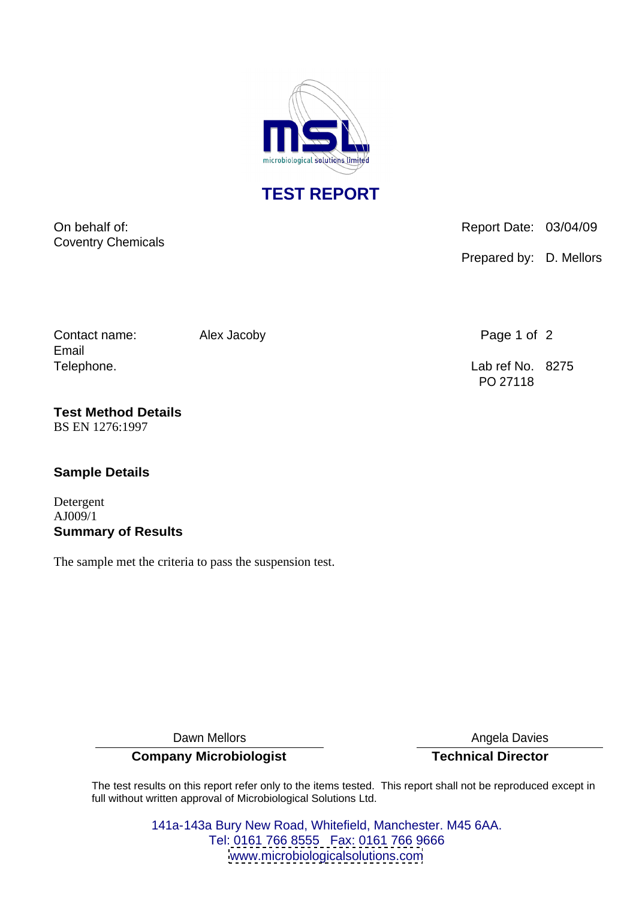

**TEST REPORT**

Coventry Chemicals

On behalf of:  $\blacksquare$  Report Date: 03/04/09

Prepared by: D. Mellors

Contact name: Alex Jacoby **Page 1 of 2** Page 1 of 2 Email

Telephone. Lab ref No. 8275 PO 27118

**Test Method Details** BS EN 1276:1997

## **Sample Details**

Detergent AJ009/1 **Summary of Results**

The sample met the criteria to pass the suspension test.

**Company Microbiologist Technical Director**

Dawn Mellors **Angela Davies** Angela Davies

The test results on this report refer only to the items tested. This report shall not be reproduced except in full without written approval of Microbiological Solutions Ltd.

> 141a-143a Bury New Road, Whitefield, Manchester. M45 6AA. Tel: 0161 766 8555 Fax: 0161 766 9666 [www.microbiologicalsolutions.com](http://www.microbiologicalsolutions.com)